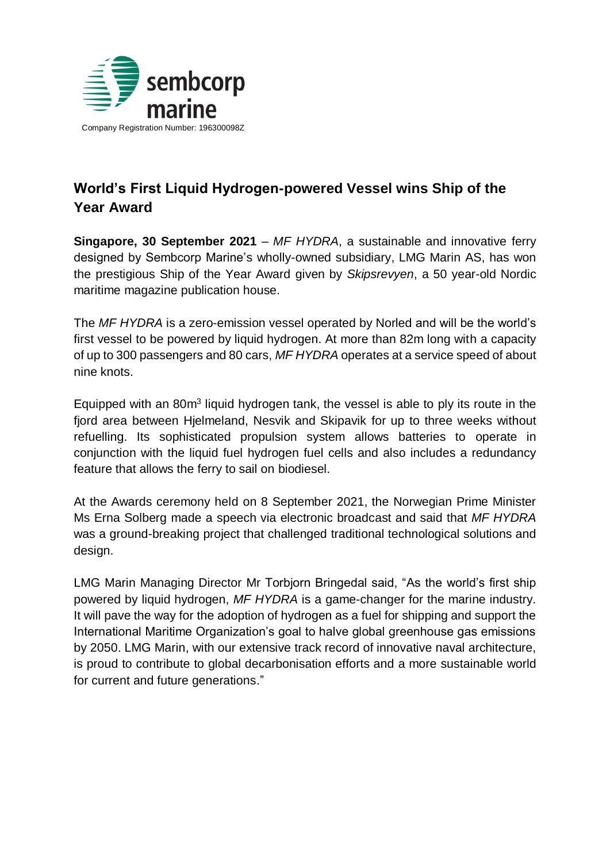

## **World's First Liquid Hydrogen-powered Vessel wins Ship of the Year Award**

**Singapore, 30 September 2021** – *MF HYDRA*, a sustainable and innovative ferry designed by Sembcorp Marine's wholly-owned subsidiary, LMG Marin AS, has won the prestigious Ship of the Year Award given by *Skipsrevyen*, a 50 year-old Nordic maritime magazine publication house.

The *MF HYDRA* is a zero-emission vessel operated by Norled and will be the world's first vessel to be powered by liquid hydrogen. At more than 82m long with a capacity of up to 300 passengers and 80 cars, *MF HYDRA* operates at a service speed of about nine knots.

Equipped with an 80m<sup>3</sup> liquid hydrogen tank, the vessel is able to ply its route in the fiord area between Hielmeland, Nesvik and Skipavik for up to three weeks without refuelling. Its sophisticated propulsion system allows batteries to operate in conjunction with the liquid fuel hydrogen fuel cells and also includes a redundancy feature that allows the ferry to sail on biodiesel.

At the Awards ceremony held on 8 September 2021, the Norwegian Prime Minister Ms Erna Solberg made a speech via electronic broadcast and said that *MF HYDRA* was a ground-breaking project that challenged traditional technological solutions and design.

LMG Marin Managing Director Mr Torbjorn Bringedal said, "As the world's first ship powered by liquid hydrogen, *MF HYDRA* is a game-changer for the marine industry. It will pave the way for the adoption of hydrogen as a fuel for shipping and support the International Maritime Organization's goal to halve global greenhouse gas emissions by 2050. LMG Marin, with our extensive track record of innovative naval architecture, is proud to contribute to global decarbonisation efforts and a more sustainable world for current and future generations."